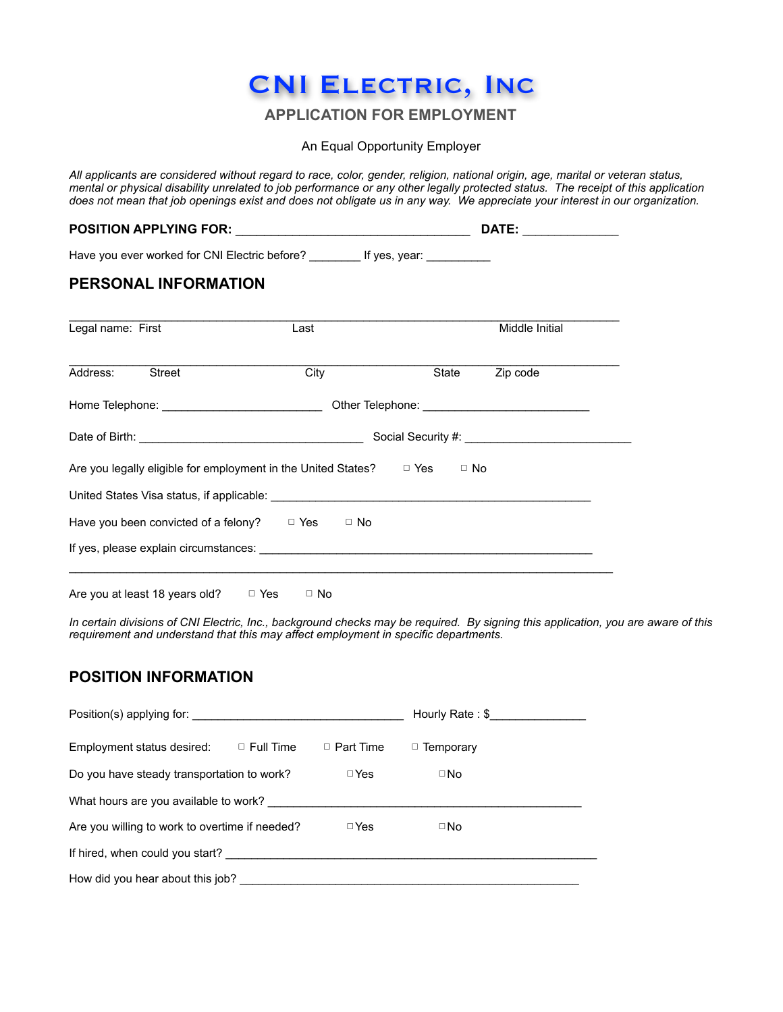# CNI Electric, Inc

# **APPLICATION FOR EMPLOYMENT**

An Equal Opportunity Employer

*All applicants are considered without regard to race, color, gender, religion, national origin, age, marital or veteran status, mental or physical disability unrelated to job performance or any other legally protected status. The receipt of this application does not mean that job openings exist and does not obligate us in any way. We appreciate your interest in our organization.* 

|                                                                                                                                                                                                                                      |      | DATE: ___________ |
|--------------------------------------------------------------------------------------------------------------------------------------------------------------------------------------------------------------------------------------|------|-------------------|
| Have you ever worked for CNI Electric before? _________ If yes, year: __________                                                                                                                                                     |      |                   |
| <b>PERSONAL INFORMATION</b>                                                                                                                                                                                                          |      |                   |
| Legal name: First                                                                                                                                                                                                                    | Last | Middle Initial    |
| Street<br>Address:                                                                                                                                                                                                                   | City | State Zip code    |
|                                                                                                                                                                                                                                      |      |                   |
| Date of Birth: <u>New York: New York: New York: New York: New York: New York: New York: New York: New York: New York: New York: New York: New York: New York: New York: New York: New York: New York: New York: New York: New Yo</u> |      |                   |
| Are you legally eligible for employment in the United States? $\Box$ Yes $\Box$ No                                                                                                                                                   |      |                   |
|                                                                                                                                                                                                                                      |      |                   |
| Have you been convicted of a felony? $\Box$ Yes $\Box$ No                                                                                                                                                                            |      |                   |
|                                                                                                                                                                                                                                      |      |                   |
|                                                                                                                                                                                                                                      |      |                   |

Are you at least 18 years old?  $\Box$  Yes  $\Box$  No

*In certain divisions of CNI Electric, Inc., background checks may be required. By signing this application, you are aware of this requirement and understand that this may affect employment in specific departments.* 

## **POSITION INFORMATION**

| Position(s) applying for:                      |                  |                  | Hourly Rate: \$  |
|------------------------------------------------|------------------|------------------|------------------|
| Employment status desired:                     | $\Box$ Full Time | $\Box$ Part Time | $\Box$ Temporary |
| Do you have steady transportation to work?     |                  | $\Box$ Yes       | $\square$ No     |
| What hours are you available to work?          |                  |                  |                  |
| Are you willing to work to overtime if needed? |                  | $\Box$ Yes       | $\square$ No     |
| If hired, when could you start?                |                  |                  |                  |
| How did you hear about this job?               |                  |                  |                  |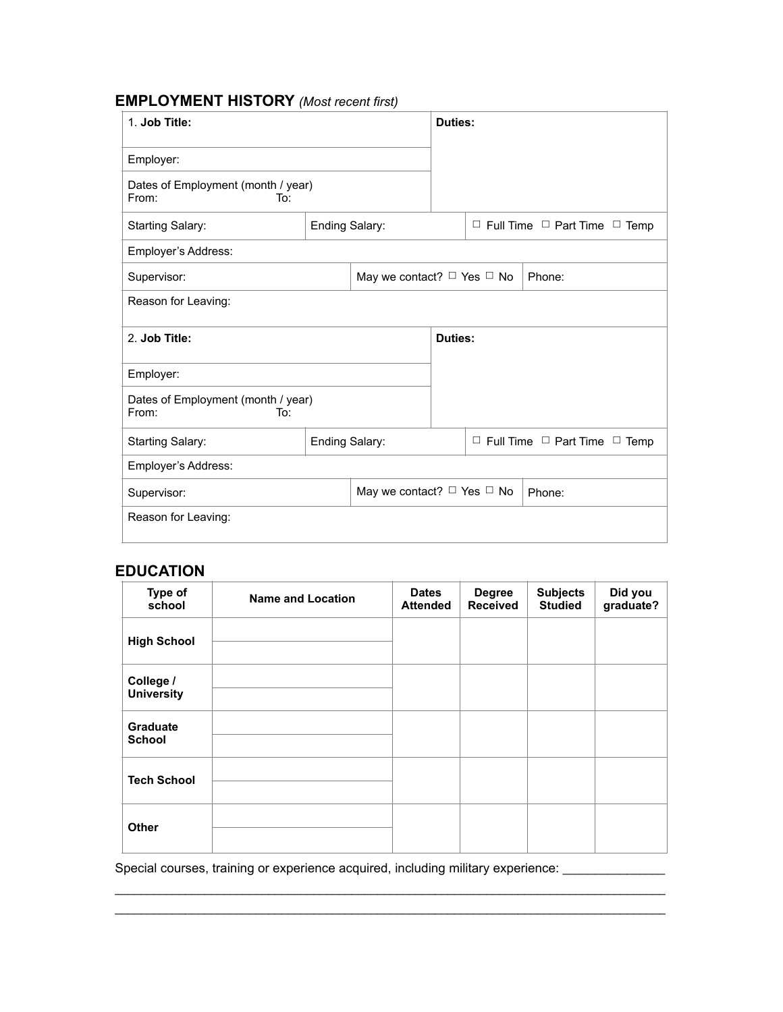# **EMPLOYMENT HISTORY** *(Most recent first)*

| 1. Job Title:                                      |                |                                      | Duties:                                       |  |                                               |
|----------------------------------------------------|----------------|--------------------------------------|-----------------------------------------------|--|-----------------------------------------------|
| Employer:                                          |                |                                      |                                               |  |                                               |
| Dates of Employment (month / year)<br>From:<br>To: |                |                                      |                                               |  |                                               |
| <b>Starting Salary:</b>                            | Ending Salary: |                                      | $\Box$ Full Time $\Box$ Part Time $\Box$ Temp |  |                                               |
| Employer's Address:                                |                |                                      |                                               |  |                                               |
| Supervisor:                                        |                | May we contact? $\Box$ Yes $\Box$ No |                                               |  | Phone:                                        |
| Reason for Leaving:                                |                |                                      |                                               |  |                                               |
| 2. Job Title:                                      |                |                                      | Duties:                                       |  |                                               |
| Employer:                                          |                |                                      |                                               |  |                                               |
| Dates of Employment (month / year)<br>From:<br>To: |                |                                      |                                               |  |                                               |
| <b>Starting Salary:</b>                            | Ending Salary: |                                      |                                               |  | $\Box$ Full Time $\Box$ Part Time $\Box$ Temp |
| Employer's Address:                                |                |                                      |                                               |  |                                               |
| Supervisor:                                        |                | May we contact? $\Box$ Yes $\Box$ No |                                               |  | Phone:                                        |
| Reason for Leaving:                                |                |                                      |                                               |  |                                               |

## **EDUCATION**

| Type of<br>school                | <b>Name and Location</b> | <b>Dates</b><br><b>Attended</b> | <b>Degree</b><br><b>Received</b> | <b>Subjects</b><br><b>Studied</b> | Did you<br>graduate? |
|----------------------------------|--------------------------|---------------------------------|----------------------------------|-----------------------------------|----------------------|
| <b>High School</b>               |                          |                                 |                                  |                                   |                      |
| College /<br><b>University</b>   |                          |                                 |                                  |                                   |                      |
| <b>Graduate</b><br><b>School</b> |                          |                                 |                                  |                                   |                      |
| <b>Tech School</b>               |                          |                                 |                                  |                                   |                      |
| <b>Other</b>                     |                          |                                 |                                  |                                   |                      |

\_\_\_\_\_\_\_\_\_\_\_\_\_\_\_\_\_\_\_\_\_\_\_\_\_\_\_\_\_\_\_\_\_\_\_\_\_\_\_\_\_\_\_\_\_\_\_\_\_\_\_\_\_\_\_\_\_\_\_\_\_\_\_\_\_\_\_\_\_\_\_\_\_\_\_\_\_\_\_\_\_\_\_\_\_\_ \_\_\_\_\_\_\_\_\_\_\_\_\_\_\_\_\_\_\_\_\_\_\_\_\_\_\_\_\_\_\_\_\_\_\_\_\_\_\_\_\_\_\_\_\_\_\_\_\_\_\_\_\_\_\_\_\_\_\_\_\_\_\_\_\_\_\_\_\_\_\_\_\_\_\_\_\_\_\_\_\_\_\_\_\_\_

Special courses, training or experience acquired, including military experience: \_\_\_\_\_\_\_\_\_\_\_\_\_\_\_\_\_\_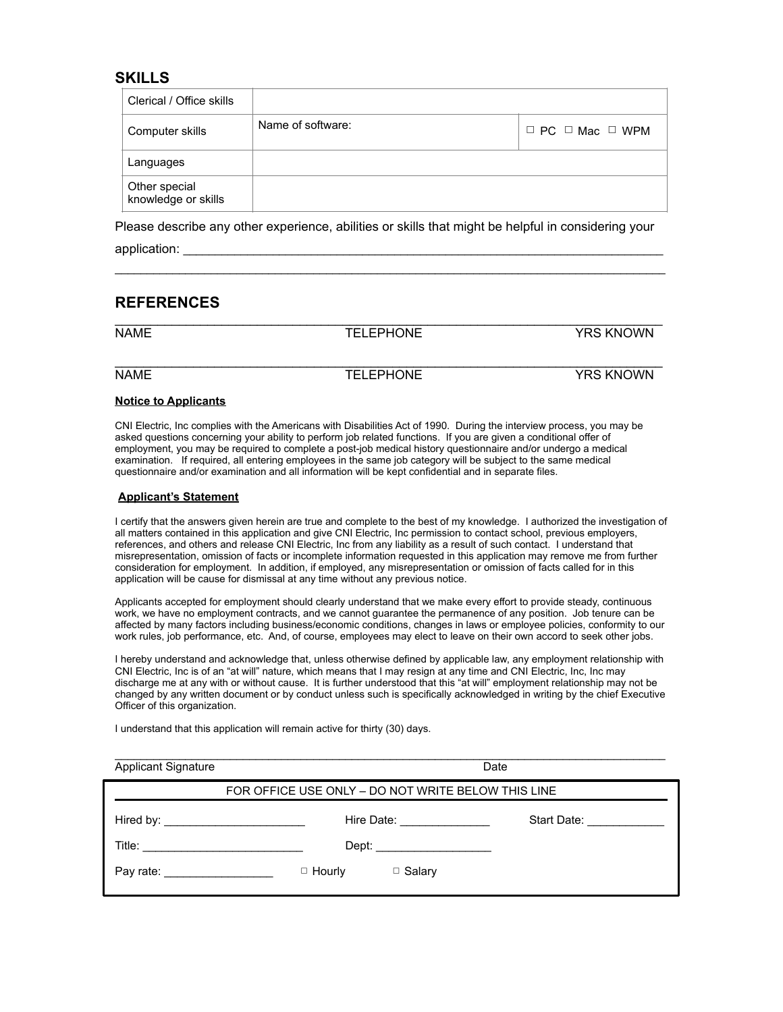#### **SKILLS**

| Clerical / Office skills             |                   |                                 |
|--------------------------------------|-------------------|---------------------------------|
| Computer skills                      | Name of software: | $\Box$ PC $\Box$ Mac $\Box$ WPM |
| Languages                            |                   |                                 |
| Other special<br>knowledge or skills |                   |                                 |

Please describe any other experience, abilities or skills that might be helpful in considering your application:

 $\mathcal{L}_\mathcal{L} = \mathcal{L}_\mathcal{L} = \mathcal{L}_\mathcal{L} = \mathcal{L}_\mathcal{L} = \mathcal{L}_\mathcal{L} = \mathcal{L}_\mathcal{L} = \mathcal{L}_\mathcal{L} = \mathcal{L}_\mathcal{L} = \mathcal{L}_\mathcal{L} = \mathcal{L}_\mathcal{L} = \mathcal{L}_\mathcal{L} = \mathcal{L}_\mathcal{L} = \mathcal{L}_\mathcal{L} = \mathcal{L}_\mathcal{L} = \mathcal{L}_\mathcal{L} = \mathcal{L}_\mathcal{L} = \mathcal{L}_\mathcal{L}$ 

### **REFERENCES**

| <b>NAME</b> | <b>TELEPHONE</b> | <b>YRS KNOWN</b> |
|-------------|------------------|------------------|
|             |                  |                  |
| <b>NAME</b> | <b>TELEPHONE</b> | <b>YRS KNOWN</b> |
|             |                  |                  |

#### **Notice to Applicants**

CNI Electric, Inc complies with the Americans with Disabilities Act of 1990. During the interview process, you may be asked questions concerning your ability to perform job related functions. If you are given a conditional offer of employment, you may be required to complete a post-job medical history questionnaire and/or undergo a medical examination. If required, all entering employees in the same job category will be subject to the same medical questionnaire and/or examination and all information will be kept confidential and in separate files.

#### **Applicant's Statement**

I certify that the answers given herein are true and complete to the best of my knowledge. I authorized the investigation of all matters contained in this application and give CNI Electric, Inc permission to contact school, previous employers, references, and others and release CNI Electric, Inc from any liability as a result of such contact. I understand that misrepresentation, omission of facts or incomplete information requested in this application may remove me from further consideration for employment. In addition, if employed, any misrepresentation or omission of facts called for in this application will be cause for dismissal at any time without any previous notice.

Applicants accepted for employment should clearly understand that we make every effort to provide steady, continuous work, we have no employment contracts, and we cannot guarantee the permanence of any position. Job tenure can be affected by many factors including business/economic conditions, changes in laws or employee policies, conformity to our work rules, job performance, etc. And, of course, employees may elect to leave on their own accord to seek other jobs.

I hereby understand and acknowledge that, unless otherwise defined by applicable law, any employment relationship with CNI Electric, Inc is of an "at will" nature, which means that I may resign at any time and CNI Electric, Inc, Inc may discharge me at any with or without cause. It is further understood that this "at will" employment relationship may not be changed by any written document or by conduct unless such is specifically acknowledged in writing by the chief Executive Officer of this organization.

 $\mathcal{L}_\mathcal{L} = \mathcal{L}_\mathcal{L} = \mathcal{L}_\mathcal{L} = \mathcal{L}_\mathcal{L} = \mathcal{L}_\mathcal{L} = \mathcal{L}_\mathcal{L} = \mathcal{L}_\mathcal{L} = \mathcal{L}_\mathcal{L} = \mathcal{L}_\mathcal{L} = \mathcal{L}_\mathcal{L} = \mathcal{L}_\mathcal{L} = \mathcal{L}_\mathcal{L} = \mathcal{L}_\mathcal{L} = \mathcal{L}_\mathcal{L} = \mathcal{L}_\mathcal{L} = \mathcal{L}_\mathcal{L} = \mathcal{L}_\mathcal{L}$ 

I understand that this application will remain active for thirty (30) days.

| <b>Applicant Signature</b>                                                                                                                                                                                                                                                                                                                                                                                   |                                                    | Date                             |                              |
|--------------------------------------------------------------------------------------------------------------------------------------------------------------------------------------------------------------------------------------------------------------------------------------------------------------------------------------------------------------------------------------------------------------|----------------------------------------------------|----------------------------------|------------------------------|
|                                                                                                                                                                                                                                                                                                                                                                                                              | FOR OFFICE USE ONLY - DO NOT WRITE BELOW THIS LINE |                                  |                              |
|                                                                                                                                                                                                                                                                                                                                                                                                              |                                                    | Hire Date: <u>______________</u> | Start Date: <u>_________</u> |
| Title: $\frac{1}{\sqrt{1-\frac{1}{2}}\sqrt{1-\frac{1}{2}}\sqrt{1-\frac{1}{2}}\sqrt{1-\frac{1}{2}}\sqrt{1-\frac{1}{2}}\sqrt{1-\frac{1}{2}}\sqrt{1-\frac{1}{2}}\sqrt{1-\frac{1}{2}}\sqrt{1-\frac{1}{2}}\sqrt{1-\frac{1}{2}}\sqrt{1-\frac{1}{2}}\sqrt{1-\frac{1}{2}}\sqrt{1-\frac{1}{2}}\sqrt{1-\frac{1}{2}}\sqrt{1-\frac{1}{2}}\sqrt{1-\frac{1}{2}}\sqrt{1-\frac{1}{2}}\sqrt{1-\frac{1}{2}}\sqrt{1-\frac{1}{2$ |                                                    | Dept: _________________          |                              |
| Pay rate: <u>contract and the set of the set of the set of the set of the set of the set of the set of the set of the set of the set of the set of the set of the set of the set of the set of the set of the set of the set of </u>                                                                                                                                                                         | $\Box$ Hourly                                      | $\Box$ Salary                    |                              |